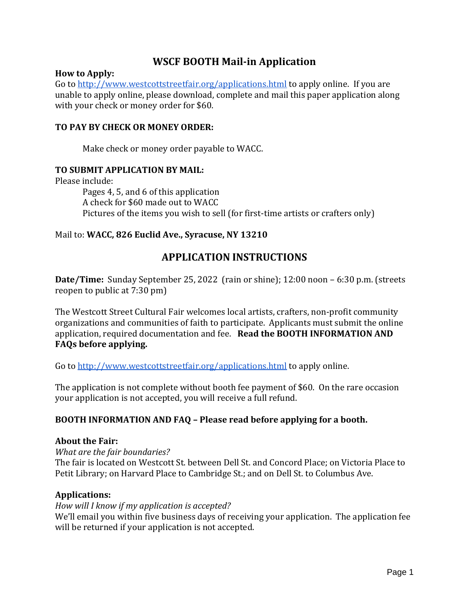# **WSCF BOOTH Mail-in Application**

#### **How to Apply:**

Go to<http://www.westcottstreetfair.org/applications.html> to apply online. If you are unable to apply online, please download, complete and mail this paper application along with your check or money order for \$60.

### **TO PAY BY CHECK OR MONEY ORDER:**

Make check or money order payable to WACC.

#### **TO SUBMIT APPLICATION BY MAIL:**

Please include:

Pages 4, 5, and 6 of this application A check for \$60 made out to WACC Pictures of the items you wish to sell (for first-time artists or crafters only)

### Mail to: **WACC, 826 Euclid Ave., Syracuse, NY 13210**

# **APPLICATION INSTRUCTIONS**

**Date/Time:** Sunday September 25, 2022 (rain or shine); 12:00 noon – 6:30 p.m. (streets reopen to public at 7:30 pm)

The Westcott Street Cultural Fair welcomes local artists, crafters, non-profit community organizations and communities of faith to participate. Applicants must submit the online application, required documentation and fee. **Read the BOOTH INFORMATION AND FAQs before applying.**

Go to<http://www.westcottstreetfair.org/applications.html> to apply online.

The application is not complete without booth fee payment of \$60. On the rare occasion your application is not accepted, you will receive a full refund.

### **BOOTH INFORMATION AND FAQ – Please read before applying for a booth.**

#### **About the Fair:**

*What are the fair boundaries?*

The fair is located on Westcott St. between Dell St. and Concord Place; on Victoria Place to Petit Library; on Harvard Place to Cambridge St.; and on Dell St. to Columbus Ave.

#### **Applications:**

#### *How will I know if my application is accepted?*

We'll email you within five business days of receiving your application. The application fee will be returned if your application is not accepted.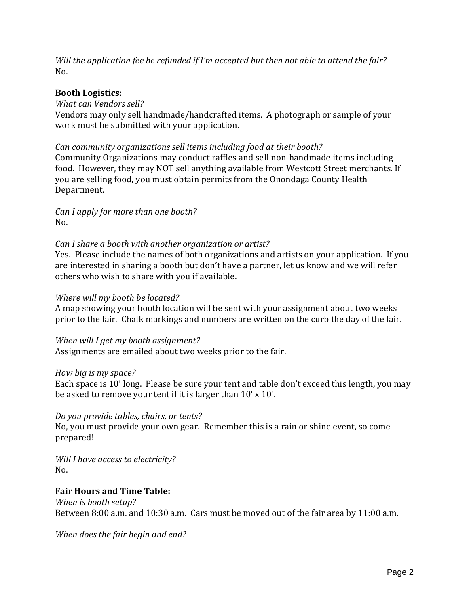*Will the application fee be refunded if I'm accepted but then not able to attend the fair?* No.

### **Booth Logistics:**

#### *What can Vendors sell?*

Vendors may only sell handmade/handcrafted items. A photograph or sample of your work must be submitted with your application.

### *Can community organizations sell items including food at their booth?*

Community Organizations may conduct raffles and sell non-handmade items including food. However, they may NOT sell anything available from Westcott Street merchants. If you are selling food, you must obtain permits from the Onondaga County Health Department.

*Can I apply for more than one booth?* No.

### *Can I share a booth with another organization or artist?*

Yes. Please include the names of both organizations and artists on your application. If you are interested in sharing a booth but don't have a partner, let us know and we will refer others who wish to share with you if available.

#### *Where will my booth be located?*

A map showing your booth location will be sent with your assignment about two weeks prior to the fair. Chalk markings and numbers are written on the curb the day of the fair.

#### *When will I get my booth assignment?*

Assignments are emailed about two weeks prior to the fair.

#### *How big is my space?*

Each space is 10' long. Please be sure your tent and table don't exceed this length, you may be asked to remove your tent if it is larger than 10' x 10'.

### *Do you provide tables, chairs, or tents?*

No, you must provide your own gear. Remember this is a rain or shine event, so come prepared!

*Will I have access to electricity?* No.

### **Fair Hours and Time Table:**

*When is booth setup?* Between 8:00 a.m. and 10:30 a.m. Cars must be moved out of the fair area by 11:00 a.m.

*When does the fair begin and end?*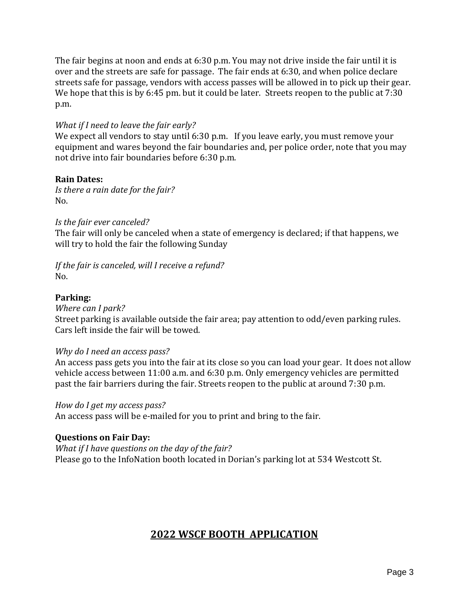The fair begins at noon and ends at 6:30 p.m. You may not drive inside the fair until it is over and the streets are safe for passage. The fair ends at 6:30, and when police declare streets safe for passage, vendors with access passes will be allowed in to pick up their gear. We hope that this is by 6:45 pm. but it could be later. Streets reopen to the public at 7:30 p.m.

### *What if I need to leave the fair early?*

We expect all vendors to stay until 6:30 p.m. If you leave early, you must remove your equipment and wares beyond the fair boundaries and, per police order, note that you may not drive into fair boundaries before 6:30 p.m.

#### **Rain Dates:**

*Is there a rain date for the fair?* No.

#### *Is the fair ever canceled?*

The fair will only be canceled when a state of emergency is declared; if that happens, we will try to hold the fair the following Sunday

#### *If the fair is canceled, will I receive a refund?*  $N<sub>0</sub>$

#### **Parking:**

*Where can I park?* 

Street parking is available outside the fair area; pay attention to odd/even parking rules. Cars left inside the fair will be towed.

#### *Why do I need an access pass?*

An access pass gets you into the fair at its close so you can load your gear. It does not allow vehicle access between 11:00 a.m. and 6:30 p.m. Only emergency vehicles are permitted past the fair barriers during the fair. Streets reopen to the public at around 7:30 p.m.

*How do I get my access pass?*

An access pass will be e-mailed for you to print and bring to the fair.

#### **Questions on Fair Day:**

*What if I have questions on the day of the fair?* Please go to the InfoNation booth located in Dorian's parking lot at 534 Westcott St.

# **2022 WSCF BOOTH APPLICATION**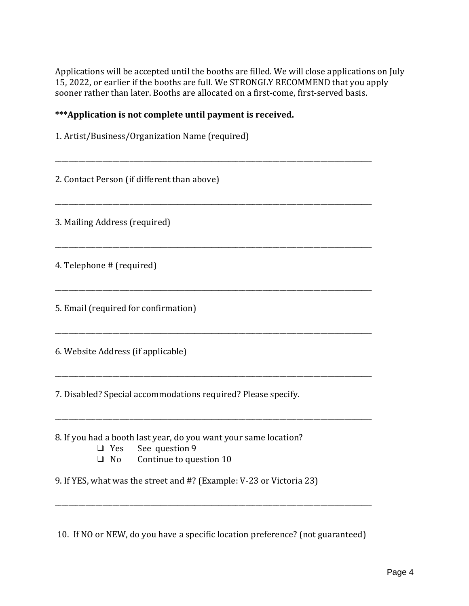Applications will be accepted until the booths are filled. We will close applications on July 15, 2022, or earlier if the booths are full. We STRONGLY RECOMMEND that you apply sooner rather than later. Booths are allocated on a first-come, first-served basis.

# **\*\*\*Application is not complete until payment is received.**

| 1. Artist/Business/Organization Name (required)                                                                              |
|------------------------------------------------------------------------------------------------------------------------------|
| 2. Contact Person (if different than above)                                                                                  |
| 3. Mailing Address (required)                                                                                                |
| 4. Telephone # (required)                                                                                                    |
| 5. Email (required for confirmation)                                                                                         |
| 6. Website Address (if applicable)                                                                                           |
| 7. Disabled? Special accommodations required? Please specify.                                                                |
| 8. If you had a booth last year, do you want your same location?<br>Yes See question 9<br>⊔<br>Continue to question 10<br>No |
| 9. If YES, what was the street and #? (Example: V-23 or Victoria 23)                                                         |
| 10. If NO or NEW, do you have a specific location preference? (not guaranteed)                                               |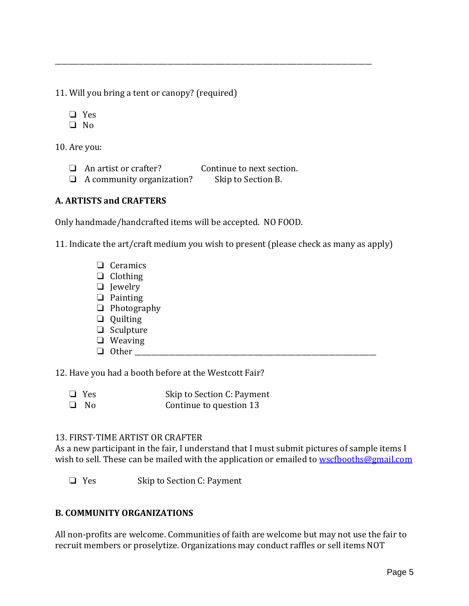11. Will you bring a tent or canopy? (required)

❏ Yes

❏ No

10. Are you:

- ❏ An artist or crafter? Continue to next section.
- ❏ A community organization? Skip to Section B.

# **A. ARTISTS and CRAFTERS**

Only handmade/handcrafted items will be accepted. NO FOOD.

11. Indicate the art/craft medium you wish to present (please check as many as apply)

\_\_\_\_\_\_\_\_\_\_\_\_\_\_\_\_\_\_\_\_\_\_\_\_\_\_\_\_\_\_\_\_\_\_\_\_\_\_\_\_\_\_\_\_\_\_\_\_\_\_\_\_\_\_\_\_\_\_\_\_\_\_\_\_\_\_\_\_\_\_\_\_\_\_\_\_\_\_\_\_\_\_\_\_\_\_\_\_\_\_\_\_\_

- ❏ Ceramics
- ❏ Clothing
- ❏ Jewelry
- ❏ Painting
- ❏ Photography
- ❏ Quilting
- ❏ Sculpture
- ❏ Weaving
- $\Box$  Other

12. Have you had a booth before at the Westcott Fair?

❏ Yes Skip to Section C: Payment ❏ No Continue to question 13

### 13. FIRST-TIME ARTIST OR CRAFTER

As a new participant in the fair, I understand that I must submit pictures of sample items I wish to sell. These can be mailed with the application or emailed to [wscfbooths@gmail.com](mailto:wscfbooths2018@gmail.com)

❏ Yes Skip to Section C: Payment

# **B. COMMUNITY ORGANIZATIONS**

All non-profits are welcome. Communities of faith are welcome but may not use the fair to recruit members or proselytize. Organizations may conduct raffles or sell items NOT